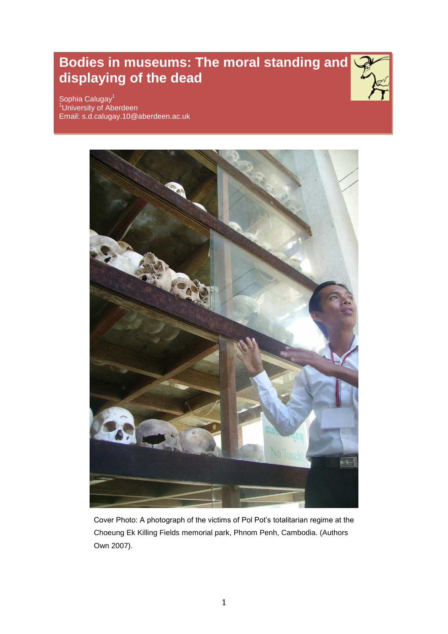# **Bodies in museums: The moral standing and displaying of the dead**



Sophia Calugay<sup>1</sup> <sup>1</sup>University of Aberdeen Email: s.d.calugay.10@aberdeen.ac.uk



Cover Photo: A photograph of the victims of Pol Pot's totalitarian regime at the Choeung Ek Killing Fields memorial park, Phnom Penh, Cambodia. (Authors Own 2007).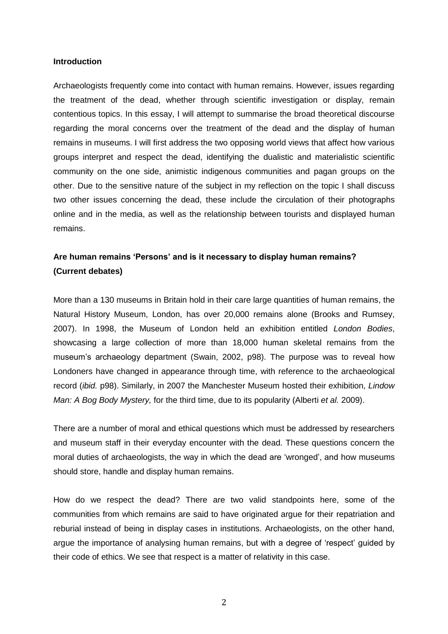#### **Introduction**

Archaeologists frequently come into contact with human remains. However, issues regarding the treatment of the dead, whether through scientific investigation or display, remain contentious topics. In this essay, I will attempt to summarise the broad theoretical discourse regarding the moral concerns over the treatment of the dead and the display of human remains in museums. I will first address the two opposing world views that affect how various groups interpret and respect the dead, identifying the dualistic and materialistic scientific community on the one side, animistic indigenous communities and pagan groups on the other. Due to the sensitive nature of the subject in my reflection on the topic I shall discuss two other issues concerning the dead, these include the circulation of their photographs online and in the media, as well as the relationship between tourists and displayed human remains.

# **Are human remains 'Persons' and is it necessary to display human remains? (Current debates)**

More than a 130 museums in Britain hold in their care large quantities of human remains, the Natural History Museum, London, has over 20,000 remains alone (Brooks and Rumsey, 2007). In 1998, the Museum of London held an exhibition entitled *London Bodies*, showcasing a large collection of more than 18,000 human skeletal remains from the museum's archaeology department (Swain, 2002, p98). The purpose was to reveal how Londoners have changed in appearance through time, with reference to the archaeological record (*ibid.* p98). Similarly, in 2007 the Manchester Museum hosted their exhibition, *Lindow Man: A Bog Body Mystery,* for the third time, due to its popularity (Alberti *et al.* 2009).

There are a number of moral and ethical questions which must be addressed by researchers and museum staff in their everyday encounter with the dead. These questions concern the moral duties of archaeologists, the way in which the dead are 'wronged', and how museums should store, handle and display human remains.

How do we respect the dead? There are two valid standpoints here, some of the communities from which remains are said to have originated argue for their repatriation and reburial instead of being in display cases in institutions. Archaeologists, on the other hand, argue the importance of analysing human remains, but with a degree of 'respect' guided by their code of ethics. We see that respect is a matter of relativity in this case.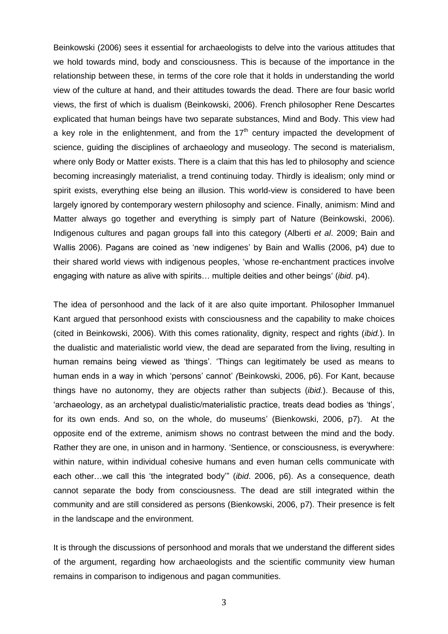Beinkowski (2006) sees it essential for archaeologists to delve into the various attitudes that we hold towards mind, body and consciousness. This is because of the importance in the relationship between these, in terms of the core role that it holds in understanding the world view of the culture at hand, and their attitudes towards the dead. There are four basic world views, the first of which is dualism (Beinkowski, 2006). French philosopher Rene Descartes explicated that human beings have two separate substances, Mind and Body. This view had a key role in the enlightenment, and from the  $17<sup>th</sup>$  century impacted the development of science, guiding the disciplines of archaeology and museology. The second is materialism, where only Body or Matter exists. There is a claim that this has led to philosophy and science becoming increasingly materialist, a trend continuing today. Thirdly is idealism; only mind or spirit exists, everything else being an illusion. This world-view is considered to have been largely ignored by contemporary western philosophy and science. Finally, animism: Mind and Matter always go together and everything is simply part of Nature (Beinkowski, 2006). Indigenous cultures and pagan groups fall into this category (Alberti *et al*. 2009; Bain and Wallis 2006). Pagans are coined as 'new indigenes' by Bain and Wallis (2006, p4) due to their shared world views with indigenous peoples, 'whose re-enchantment practices involve engaging with nature as alive with spirits… multiple deities and other beings' (*ibid*. p4).

The idea of personhood and the lack of it are also quite important. Philosopher Immanuel Kant argued that personhood exists with consciousness and the capability to make choices (cited in Beinkowski, 2006). With this comes rationality, dignity, respect and rights (*ibid.*). In the dualistic and materialistic world view, the dead are separated from the living, resulting in human remains being viewed as 'things'. 'Things can legitimately be used as means to human ends in a way in which 'persons' cannot' *(*Beinkowski, 2006, p6). For Kant, because things have no autonomy, they are objects rather than subjects (*ibid.*). Because of this, 'archaeology, as an archetypal dualistic/materialistic practice, treats dead bodies as 'things', for its own ends. And so, on the whole, do museums' (Bienkowski, 2006, p7). At the opposite end of the extreme, animism shows no contrast between the mind and the body. Rather they are one, in unison and in harmony. 'Sentience, or consciousness, is everywhere: within nature, within individual cohesive humans and even human cells communicate with each other…we call this 'the integrated body'" (*ibid*. 2006, p6). As a consequence, death cannot separate the body from consciousness. The dead are still integrated within the community and are still considered as persons (Bienkowski, 2006, p7). Their presence is felt in the landscape and the environment.

It is through the discussions of personhood and morals that we understand the different sides of the argument, regarding how archaeologists and the scientific community view human remains in comparison to indigenous and pagan communities.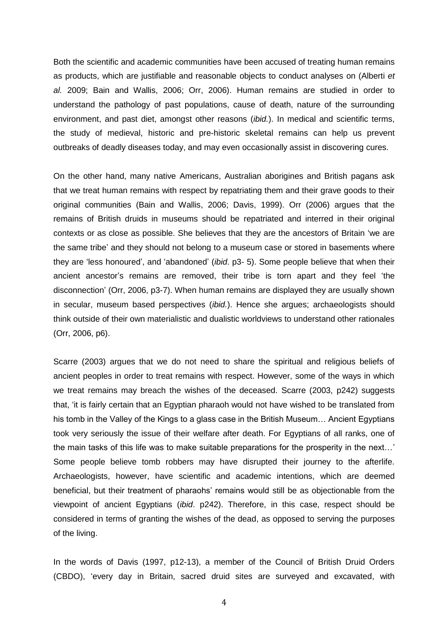Both the scientific and academic communities have been accused of treating human remains as products, which are justifiable and reasonable objects to conduct analyses on (Alberti *et al.* 2009; Bain and Wallis, 2006; Orr, 2006). Human remains are studied in order to understand the pathology of past populations, cause of death, nature of the surrounding environment, and past diet, amongst other reasons (*ibid.*). In medical and scientific terms, the study of medieval, historic and pre-historic skeletal remains can help us prevent outbreaks of deadly diseases today, and may even occasionally assist in discovering cures.

On the other hand, many native Americans, Australian aborigines and British pagans ask that we treat human remains with respect by repatriating them and their grave goods to their original communities (Bain and Wallis, 2006; Davis, 1999). Orr (2006) argues that the remains of British druids in museums should be repatriated and interred in their original contexts or as close as possible. She believes that they are the ancestors of Britain 'we are the same tribe' and they should not belong to a museum case or stored in basements where they are 'less honoured', and 'abandoned' (*ibid*. p3- 5). Some people believe that when their ancient ancestor's remains are removed, their tribe is torn apart and they feel 'the disconnection' (Orr, 2006, p3-7). When human remains are displayed they are usually shown in secular, museum based perspectives (*ibid.*). Hence she argues; archaeologists should think outside of their own materialistic and dualistic worldviews to understand other rationales (Orr, 2006, p6).

Scarre (2003) argues that we do not need to share the spiritual and religious beliefs of ancient peoples in order to treat remains with respect. However, some of the ways in which we treat remains may breach the wishes of the deceased. Scarre (2003, p242) suggests that, 'it is fairly certain that an Egyptian pharaoh would not have wished to be translated from his tomb in the Valley of the Kings to a glass case in the British Museum… Ancient Egyptians took very seriously the issue of their welfare after death. For Egyptians of all ranks, one of the main tasks of this life was to make suitable preparations for the prosperity in the next…' Some people believe tomb robbers may have disrupted their journey to the afterlife. Archaeologists, however, have scientific and academic intentions, which are deemed beneficial, but their treatment of pharaohs' remains would still be as objectionable from the viewpoint of ancient Egyptians (*ibid*. p242). Therefore, in this case, respect should be considered in terms of granting the wishes of the dead, as opposed to serving the purposes of the living.

In the words of Davis (1997, p12-13), a member of the Council of British Druid Orders (CBDO), 'every day in Britain, sacred druid sites are surveyed and excavated, with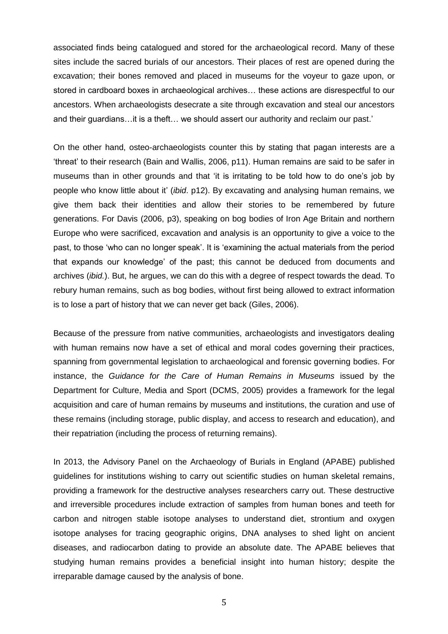associated finds being catalogued and stored for the archaeological record. Many of these sites include the sacred burials of our ancestors. Their places of rest are opened during the excavation; their bones removed and placed in museums for the voyeur to gaze upon, or stored in cardboard boxes in archaeological archives… these actions are disrespectful to our ancestors. When archaeologists desecrate a site through excavation and steal our ancestors and their guardians…it is a theft… we should assert our authority and reclaim our past.'

On the other hand, osteo-archaeologists counter this by stating that pagan interests are a 'threat' to their research (Bain and Wallis, 2006, p11). Human remains are said to be safer in museums than in other grounds and that 'it is irritating to be told how to do one's job by people who know little about it' (*ibid*. p12). By excavating and analysing human remains, we give them back their identities and allow their stories to be remembered by future generations. For Davis (2006, p3), speaking on bog bodies of Iron Age Britain and northern Europe who were sacrificed, excavation and analysis is an opportunity to give a voice to the past, to those 'who can no longer speak'. It is 'examining the actual materials from the period that expands our knowledge' of the past; this cannot be deduced from documents and archives (*ibid.*). But, he argues, we can do this with a degree of respect towards the dead. To rebury human remains, such as bog bodies, without first being allowed to extract information is to lose a part of history that we can never get back (Giles, 2006).

Because of the pressure from native communities, archaeologists and investigators dealing with human remains now have a set of ethical and moral codes governing their practices, spanning from governmental legislation to archaeological and forensic governing bodies. For instance, the *Guidance for the Care of Human Remains in Museums* issued by the Department for Culture, Media and Sport (DCMS, 2005) provides a framework for the legal acquisition and care of human remains by museums and institutions, the curation and use of these remains (including storage, public display, and access to research and education), and their repatriation (including the process of returning remains).

In 2013, the Advisory Panel on the Archaeology of Burials in England (APABE) published guidelines for institutions wishing to carry out scientific studies on human skeletal remains, providing a framework for the destructive analyses researchers carry out. These destructive and irreversible procedures include extraction of samples from human bones and teeth for carbon and nitrogen stable isotope analyses to understand diet, strontium and oxygen isotope analyses for tracing geographic origins, DNA analyses to shed light on ancient diseases, and radiocarbon dating to provide an absolute date. The APABE believes that studying human remains provides a beneficial insight into human history; despite the irreparable damage caused by the analysis of bone.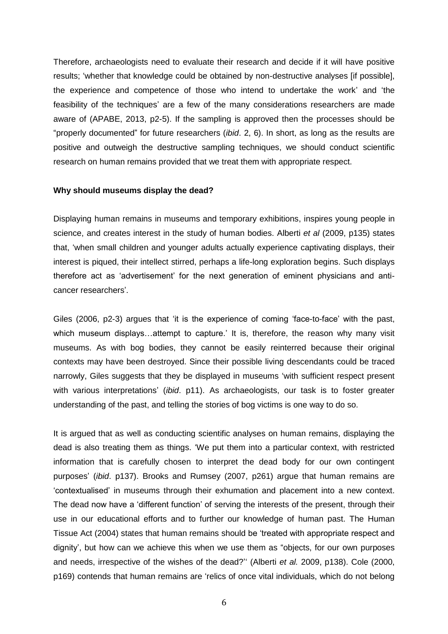Therefore, archaeologists need to evaluate their research and decide if it will have positive results; 'whether that knowledge could be obtained by non-destructive analyses [if possible], the experience and competence of those who intend to undertake the work' and 'the feasibility of the techniques' are a few of the many considerations researchers are made aware of (APABE, 2013, p2-5). If the sampling is approved then the processes should be "properly documented" for future researchers (*ibid*. 2, 6). In short, as long as the results are positive and outweigh the destructive sampling techniques, we should conduct scientific research on human remains provided that we treat them with appropriate respect.

#### **Why should museums display the dead?**

Displaying human remains in museums and temporary exhibitions, inspires young people in science, and creates interest in the study of human bodies. Alberti *et al* (2009, p135) states that, 'when small children and younger adults actually experience captivating displays, their interest is piqued, their intellect stirred, perhaps a life-long exploration begins. Such displays therefore act as 'advertisement' for the next generation of eminent physicians and anticancer researchers'.

Giles (2006, p2-3) argues that 'it is the experience of coming 'face-to-face' with the past, which museum displays...attempt to capture.' It is, therefore, the reason why many visit museums. As with bog bodies, they cannot be easily reinterred because their original contexts may have been destroyed. Since their possible living descendants could be traced narrowly, Giles suggests that they be displayed in museums 'with sufficient respect present with various interpretations' (*ibid*. p11). As archaeologists, our task is to foster greater understanding of the past, and telling the stories of bog victims is one way to do so.

It is argued that as well as conducting scientific analyses on human remains, displaying the dead is also treating them as things. 'We put them into a particular context, with restricted information that is carefully chosen to interpret the dead body for our own contingent purposes' (*ibid*. p137). Brooks and Rumsey (2007, p261) argue that human remains are 'contextualised' in museums through their exhumation and placement into a new context. The dead now have a 'different function' of serving the interests of the present, through their use in our educational efforts and to further our knowledge of human past. The Human Tissue Act (2004) states that human remains should be 'treated with appropriate respect and dignity', but how can we achieve this when we use them as "objects, for our own purposes and needs, irrespective of the wishes of the dead?'' (Alberti *et al.* 2009, p138). Cole (2000, p169) contends that human remains are 'relics of once vital individuals, which do not belong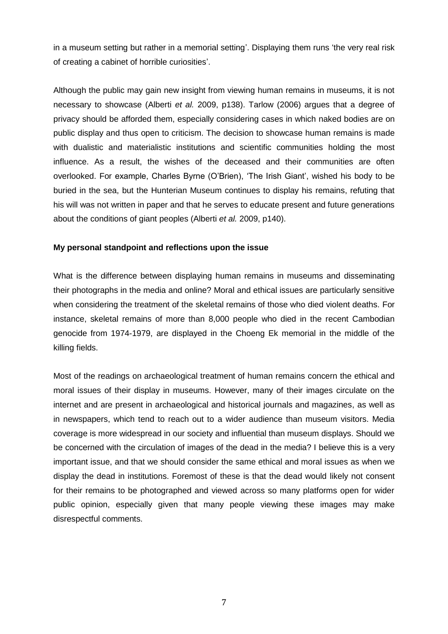in a museum setting but rather in a memorial setting'. Displaying them runs 'the very real risk of creating a cabinet of horrible curiosities'.

Although the public may gain new insight from viewing human remains in museums, it is not necessary to showcase (Alberti *et al.* 2009, p138). Tarlow (2006) argues that a degree of privacy should be afforded them, especially considering cases in which naked bodies are on public display and thus open to criticism. The decision to showcase human remains is made with dualistic and materialistic institutions and scientific communities holding the most influence. As a result, the wishes of the deceased and their communities are often overlooked. For example, Charles Byrne (O'Brien), 'The Irish Giant', wished his body to be buried in the sea, but the Hunterian Museum continues to display his remains, refuting that his will was not written in paper and that he serves to educate present and future generations about the conditions of giant peoples (Alberti *et al.* 2009, p140).

## **My personal standpoint and reflections upon the issue**

What is the difference between displaying human remains in museums and disseminating their photographs in the media and online? Moral and ethical issues are particularly sensitive when considering the treatment of the skeletal remains of those who died violent deaths. For instance, skeletal remains of more than 8,000 people who died in the recent Cambodian genocide from 1974-1979, are displayed in the Choeng Ek memorial in the middle of the killing fields.

Most of the readings on archaeological treatment of human remains concern the ethical and moral issues of their display in museums. However, many of their images circulate on the internet and are present in archaeological and historical journals and magazines, as well as in newspapers, which tend to reach out to a wider audience than museum visitors. Media coverage is more widespread in our society and influential than museum displays. Should we be concerned with the circulation of images of the dead in the media? I believe this is a very important issue, and that we should consider the same ethical and moral issues as when we display the dead in institutions. Foremost of these is that the dead would likely not consent for their remains to be photographed and viewed across so many platforms open for wider public opinion, especially given that many people viewing these images may make disrespectful comments.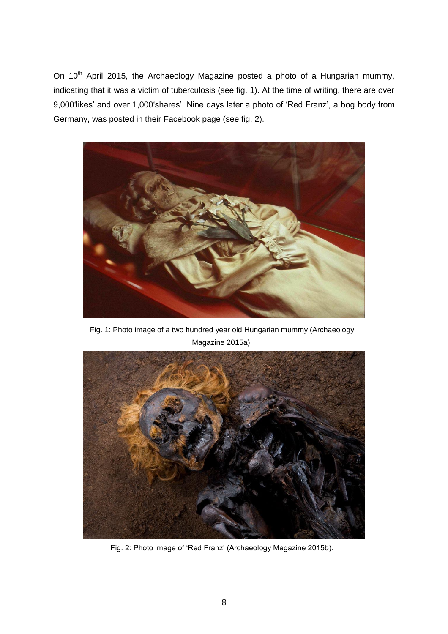On 10<sup>th</sup> April 2015, the Archaeology Magazine posted a photo of a Hungarian mummy, indicating that it was a victim of tuberculosis (see fig. 1). At the time of writing, there are over 9,000'likes' and over 1,000'shares'. Nine days later a photo of 'Red Franz', a bog body from Germany, was posted in their Facebook page (see fig. 2).



Fig. 1: Photo image of a two hundred year old Hungarian mummy (Archaeology Magazine 2015a).



Fig. 2: Photo image of 'Red Franz' (Archaeology Magazine 2015b).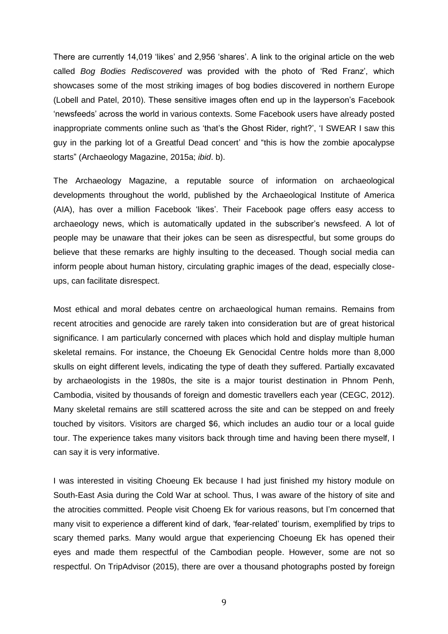There are currently 14,019 'likes' and 2,956 'shares'. A link to the original article on the web called *Bog Bodies Rediscovered* was provided with the photo of 'Red Franz', which showcases some of the most striking images of bog bodies discovered in northern Europe (Lobell and Patel, 2010). These sensitive images often end up in the layperson's Facebook 'newsfeeds' across the world in various contexts. Some Facebook users have already posted inappropriate comments online such as 'that's the Ghost Rider, right?', 'I SWEAR I saw this guy in the parking lot of a Greatful Dead concert' and "this is how the zombie apocalypse starts" (Archaeology Magazine, 2015a; *ibid*. b).

The Archaeology Magazine, a reputable source of information on archaeological developments throughout the world, published by the Archaeological Institute of America (AIA), has over a million Facebook 'likes'. Their Facebook page offers easy access to archaeology news, which is automatically updated in the subscriber's newsfeed. A lot of people may be unaware that their jokes can be seen as disrespectful, but some groups do believe that these remarks are highly insulting to the deceased. Though social media can inform people about human history, circulating graphic images of the dead, especially closeups, can facilitate disrespect.

Most ethical and moral debates centre on archaeological human remains. Remains from recent atrocities and genocide are rarely taken into consideration but are of great historical significance. I am particularly concerned with places which hold and display multiple human skeletal remains. For instance, the Choeung Ek Genocidal Centre holds more than 8,000 skulls on eight different levels, indicating the type of death they suffered. Partially excavated by archaeologists in the 1980s, the site is a major tourist destination in Phnom Penh, Cambodia, visited by thousands of foreign and domestic travellers each year (CEGC, 2012). Many skeletal remains are still scattered across the site and can be stepped on and freely touched by visitors. Visitors are charged \$6, which includes an audio tour or a local guide tour. The experience takes many visitors back through time and having been there myself, I can say it is very informative.

I was interested in visiting Choeung Ek because I had just finished my history module on South-East Asia during the Cold War at school. Thus, I was aware of the history of site and the atrocities committed. People visit Choeng Ek for various reasons, but I'm concerned that many visit to experience a different kind of dark, 'fear-related' tourism, exemplified by trips to scary themed parks. Many would argue that experiencing Choeung Ek has opened their eyes and made them respectful of the Cambodian people. However, some are not so respectful. On TripAdvisor (2015), there are over a thousand photographs posted by foreign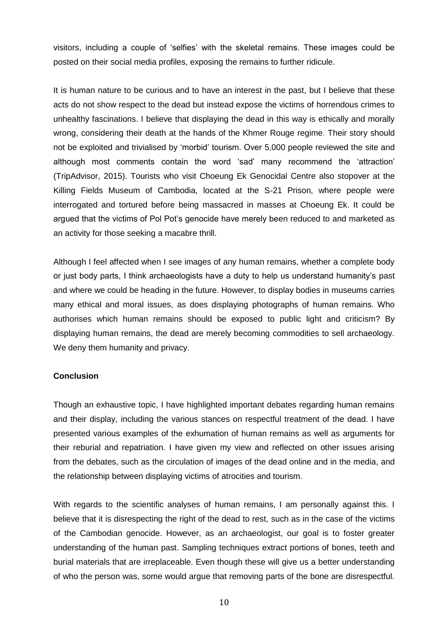visitors, including a couple of 'selfies' with the skeletal remains. These images could be posted on their social media profiles, exposing the remains to further ridicule.

It is human nature to be curious and to have an interest in the past, but I believe that these acts do not show respect to the dead but instead expose the victims of horrendous crimes to unhealthy fascinations. I believe that displaying the dead in this way is ethically and morally wrong, considering their death at the hands of the Khmer Rouge regime. Their story should not be exploited and trivialised by 'morbid' tourism. Over 5,000 people reviewed the site and although most comments contain the word 'sad' many recommend the 'attraction' (TripAdvisor, 2015). Tourists who visit Choeung Ek Genocidal Centre also stopover at the Killing Fields Museum of Cambodia, located at the S-21 Prison, where people were interrogated and tortured before being massacred in masses at Choeung Ek. It could be argued that the victims of Pol Pot's genocide have merely been reduced to and marketed as an activity for those seeking a macabre thrill.

Although I feel affected when I see images of any human remains, whether a complete body or just body parts, I think archaeologists have a duty to help us understand humanity's past and where we could be heading in the future. However, to display bodies in museums carries many ethical and moral issues, as does displaying photographs of human remains. Who authorises which human remains should be exposed to public light and criticism? By displaying human remains, the dead are merely becoming commodities to sell archaeology. We deny them humanity and privacy.

### **Conclusion**

Though an exhaustive topic, I have highlighted important debates regarding human remains and their display, including the various stances on respectful treatment of the dead. I have presented various examples of the exhumation of human remains as well as arguments for their reburial and repatriation. I have given my view and reflected on other issues arising from the debates, such as the circulation of images of the dead online and in the media, and the relationship between displaying victims of atrocities and tourism.

With regards to the scientific analyses of human remains, I am personally against this. I believe that it is disrespecting the right of the dead to rest, such as in the case of the victims of the Cambodian genocide. However, as an archaeologist, our goal is to foster greater understanding of the human past. Sampling techniques extract portions of bones, teeth and burial materials that are irreplaceable. Even though these will give us a better understanding of who the person was, some would argue that removing parts of the bone are disrespectful.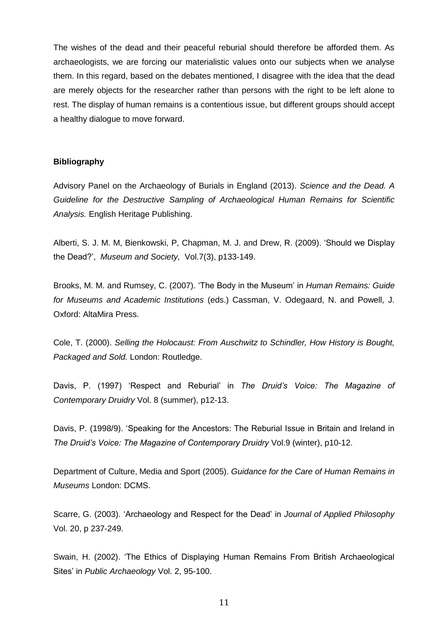The wishes of the dead and their peaceful reburial should therefore be afforded them. As archaeologists, we are forcing our materialistic values onto our subjects when we analyse them. In this regard, based on the debates mentioned, I disagree with the idea that the dead are merely objects for the researcher rather than persons with the right to be left alone to rest. The display of human remains is a contentious issue, but different groups should accept a healthy dialogue to move forward.

#### **Bibliography**

Advisory Panel on the Archaeology of Burials in England (2013). *Science and the Dead. A Guideline for the Destructive Sampling of Archaeological Human Remains for Scientific Analysis.* English Heritage Publishing.

Alberti, S. J. M. M, Bienkowski, P, Chapman, M. J. and Drew, R. (2009). 'Should we Display the Dead?', *Museum and Society,* Vol.7(3), p133-149.

Brooks, M. M. and Rumsey, C. (2007). 'The Body in the Museum' in *Human Remains: Guide for Museums and Academic Institutions* (eds.) Cassman, V. Odegaard, N. and Powell, J. Oxford: AltaMira Press.

Cole, T. (2000). *Selling the Holocaust: From Auschwitz to Schindler, How History is Bought, Packaged and Sold.* London: Routledge.

Davis, P. (1997) 'Respect and Reburial' in *The Druid's Voice: The Magazine of Contemporary Druidry* Vol. 8 (summer), p12-13.

Davis, P. (1998/9). 'Speaking for the Ancestors: The Reburial Issue in Britain and Ireland in *The Druid's Voice: The Magazine of Contemporary Druidry* Vol.9 (winter), p10-12.

Department of Culture, Media and Sport (2005). *Guidance for the Care of Human Remains in Museums* London: DCMS.

Scarre, G. (2003). 'Archaeology and Respect for the Dead' in *Journal of Applied Philosophy*  Vol. 20, p 237-249.

Swain, H. (2002). 'The Ethics of Displaying Human Remains From British Archaeological Sites' in *Public Archaeology* Vol. 2, 95-100.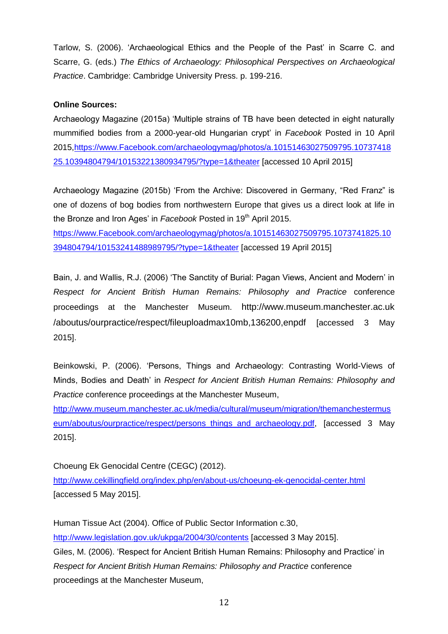Tarlow, S. (2006). 'Archaeological Ethics and the People of the Past' in Scarre C. and Scarre, G. (eds.) *The Ethics of Archaeology: Philosophical Perspectives on Archaeological Practice*. Cambridge: Cambridge University Press. p. 199-216.

# **Online Sources:**

Archaeology Magazine (2015a) 'Multiple strains of TB have been detected in eight naturally mummified bodies from a 2000-year-old Hungarian crypt' in *Facebook* Posted in 10 April 2015[,https://www.Facebook.com/archaeologymag/photos/a.10151463027509795.10737418](https://www.facebook.com/archaeologymag/photos/a.10151463027509795.1073741825.10394804794/10153221380934795/?type=1&theater) [25.10394804794/10153221380934795/?type=1&theater](https://www.facebook.com/archaeologymag/photos/a.10151463027509795.1073741825.10394804794/10153221380934795/?type=1&theater) [accessed 10 April 2015]

Archaeology Magazine (2015b) 'From the Archive: Discovered in Germany, "Red Franz" is one of dozens of bog bodies from northwestern Europe that gives us a direct look at life in the Bronze and Iron Ages' in Facebook Posted in 19<sup>th</sup> April 2015.

[https://www.Facebook.com/archaeologymag/photos/a.10151463027509795.1073741825.10](https://www.facebook.com/archaeologymag/photos/a.10151463027509795.1073741825.10394804794/10153241488989795/?type=1&theater) [394804794/10153241488989795/?type=1&theater](https://www.facebook.com/archaeologymag/photos/a.10151463027509795.1073741825.10394804794/10153241488989795/?type=1&theater) [accessed 19 April 2015]

Bain, J. and Wallis, R.J. (2006) 'The Sanctity of Burial: Pagan Views, Ancient and Modern' in *Respect for Ancient British Human Remains: Philosophy and Practice* conference proceedings at the Manchester Museum. http://www.museum.manchester.ac.uk /aboutus/ourpractice/respect/fileuploadmax10mb,136200,enpdf [accessed 3 May 2015].

Beinkowski, P. (2006). 'Persons, Things and Archaeology: Contrasting World-Views of Minds, Bodies and Death' in *Respect for Ancient British Human Remains: Philosophy and Practice* conference proceedings at the Manchester Museum,

[http://www.museum.manchester.ac.uk/media/cultural/museum/migration/themanchestermus](http://www.museum.manchester.ac.uk/media/cultural/museum/migration/themanchestermuseum/aboutus/ourpractice/respect/persons_things_and_archaeology.pdf) [eum/aboutus/ourpractice/respect/persons\\_things\\_and\\_archaeology.pdf,](http://www.museum.manchester.ac.uk/media/cultural/museum/migration/themanchestermuseum/aboutus/ourpractice/respect/persons_things_and_archaeology.pdf) [accessed 3 May 2015].

Choeung Ek Genocidal Centre (CEGC) (2012).

<http://www.cekillingfield.org/index.php/en/about-us/choeung-ek-genocidal-center.html> [accessed 5 May 2015].

Human Tissue Act (2004). Office of Public Sector Information c.30, <http://www.legislation.gov.uk/ukpga/2004/30/contents> [accessed 3 May 2015]. Giles, M. (2006). 'Respect for Ancient British Human Remains: Philosophy and Practice' in *Respect for Ancient British Human Remains: Philosophy and Practice* conference proceedings at the Manchester Museum,